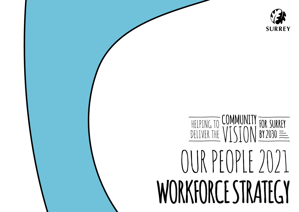### HELPING TO COMMUNITY  $\sqrt{\frac{FOR SURRF}{BY2030}}$ OUR PEOPLE 2021 **WORKFORCE STRATEGY**

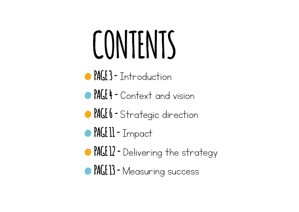## **CONTENTS**

- **PAGE 3 -**[Introduction](#page-2-0)
- **PAGE 4 -** [Context and vision](#page-3-0)
- **PAGE 6 -** [Strategic direction](#page-5-0)
- **PAGE 11 -**[Impact](#page-10-0)
- **PAGE 12 -** [Delivering the strategy](#page-11-0)
- **PAGE 13 -**[Measuring success](#page-12-0)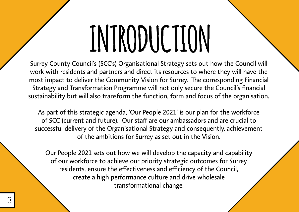# **INTRODUCTION**

<span id="page-2-0"></span>Surrey County Council's (SCC's) Organisational Strategy sets out how the Council will work with residents and partners and direct its resources to where they will have the most impact to deliver the Community Vision for Surrey. The corresponding Financial Strategy and Transformation Programme will not only secure the Council's financial sustainability but will also transform the function, form and focus of the organisation.

As part of this strategic agenda, 'Our People 2021' is our plan for the workforce of SCC (current and future). Our staff are our ambassadors and are crucial to successful delivery of the Organisational Strategy and consequently, achievement of the ambitions for Surrey as set out in the Vision.

Our People 2021 sets out how we will develop the capacity and capability of our workforce to achieve our priority strategic outcomes for Surrey residents, ensure the effectiveness and efficiency of the Council, create a high performance culture and drive wholesale transformational change.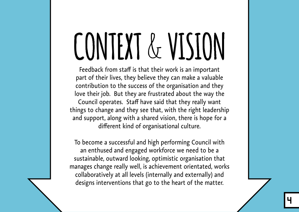## <span id="page-3-0"></span>CONTEXT & VISION

Feedback from staff is that their work is an important part of their lives, they believe they can make a valuable contribution to the success of the organisation and they love their job. But they are frustrated about the way the Council operates. Staff have said that they really want things to change and they see that, with the right leadership and support, along with a shared vision, there is hope for a different kind of organisational culture.

To become a successful and high performing Council with an enthused and engaged workforce we need to be a sustainable, outward looking, optimistic organisation that manages change really well, is achievement orientated, works collaboratively at all levels (internally and externally) and designs interventions that go to the heart of the matter.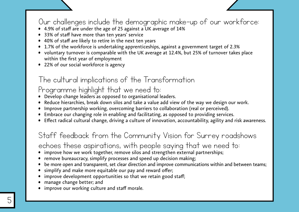#### Our challenges include the demographic make-up of our workforce:

- **•** 4.9% of staff are under the age of 25 against a UK average of 14%
- **•** 33% of staff have more than ten years' service
- **•** 40% of staff are likely to retire in the next ten years
- **•** 1.7% of the workforce is undertaking apprenticeships, against a government target of 2.3%
- **•** voluntary turnover is comparable with the UK average at 12.4%, but 25% of turnover takes place within the first year of employment
- **•** 22% of our social workforce is agency

#### The cultural implications of the Transformation

#### Programme highlight that we need to:

- **•** Develop change leaders as opposed to organisational leaders.
- **•** Reduce hierarchies, break down silos and take a value add view of the way we design our work.
- **•** Improve partnership working, overcoming barriers to collaboration (real or perceived).
- **•** Embrace our changing role in enabling and facilitating, as opposed to providing services.
- **•** Effect radical cultural change, driving a culture of innovation, accountability, agility and risk awareness.

#### Staff feedback from the Community Vision for Surrey roadshows

echoes these aspirations, with people saying that we need to:

- improve how we work together, remove silos and strengthen external partnerships;
- **•** remove bureaucracy, simplify processes and speed up decision making;
- **•** be more open and transparent, set clear direction and improve communications within and between teams;
- **•** simplify and make more equitable our pay and reward offer;
- **•** improve development opportunities so that we retain good staff;
- **•** manage change better; and
- **•** improve our working culture and staff morale.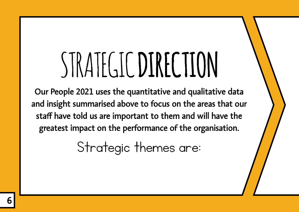### <span id="page-5-0"></span>STRATEGIC **DIRECTION**

Our People 2021 uses the quantitative and qualitative data and insight summarised above to focus on the areas that our staff have told us are important to them and will have the greatest impact on the performance of the organisation.

Strategic themes are: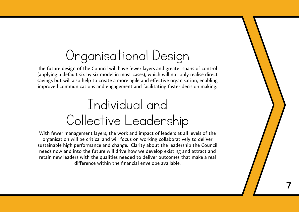### Organisational Design

The future design of the Council will have fewer layers and greater spans of control (applying a default six by six model in most cases), which will not only realise direct savings but will also help to create a more agile and effective organisation, enabling improved communications and engagement and facilitating faster decision making.

#### Individual and Collective Leadership

With fewer management layers, the work and impact of leaders at all levels of the organisation will be critical and will focus on working collaboratively to deliver sustainable high performance and change. Clarity about the leadership the Council needs now and into the future will drive how we develop existing and attract and retain new leaders with the qualities needed to deliver outcomes that make a real difference within the financial envelope available.

7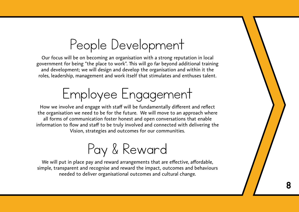#### People Development

Our focus will be on becoming an organisation with a strong reputation in local government for being "the place to work". This will go far beyond additional training and development; we will design and develop the organisation and within it the roles, leadership, management and work itself that stimulates and enthuses talent.

### Employee Engagement

How we involve and engage with staff will be fundamentally different and reflect the organisation we need to be for the future. We will move to an approach where all forms of communication foster honest and open conversations that enable information to flow and staff to be truly involved and connected with delivering the Vision, strategies and outcomes for our communities.



We will put in place pay and reward arrangements that are effective, affordable, simple, transparent and recognise and reward the impact, outcomes and behaviours needed to deliver organisational outcomes and cultural change.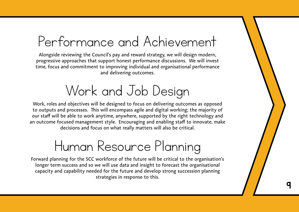#### Performance and Achievement

Alongside reviewing the Council's pay and reward strategy, we will design modern, progressive approaches that support honest performance discussions. We will invest time, focus and commitment to improving individual and organisational performance and delivering outcomes.

### Work and Job Design

Work, roles and objectives will be designed to focus on delivering outcomes as opposed to outputs and processes. This will encompass agile and digital working; the majority of our staff will be able to work anytime, anywhere, supported by the right technology and an outcome focused management style. Encouraging and enabling staff to innovate, make decisions and focus on what really matters will also be critical.

#### Human Resource Planning

Forward planning for the SCC workforce of the future will be critical to the organisation's longer term success and so we will use data and insight to forecast the organisational capacity and capability needed for the future and develop strong succession planning strategies in response to this.

9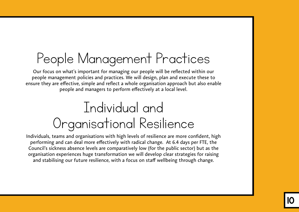### People Management Practices

Our focus on what's important for managing our people will be reflected within our people management policies and practices. We will design, plan and execute these to ensure they are effective, simple and reflect a whole organisation approach but also enable people and managers to perform effectively at a local level.

### Individual and Organisational Resilience

Individuals, teams and organisations with high levels of resilience are more confident, high performing and can deal more effectively with radical change. At 6.4 days per FTE, the Council's sickness absence levels are comparatively low (for the public sector) but as the organisation experiences huge transformation we will develop clear strategies for raising and stabilising our future resilience, with a focus on staff wellbeing through change.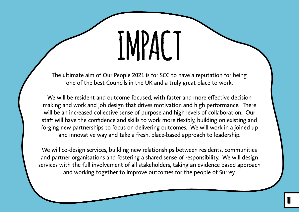# **IMPACT**

<span id="page-10-0"></span>The ultimate aim of Our People 2021 is for SCC to have a reputation for being one of the best Councils in the UK and a truly great place to work.

We will be resident and outcome focused, with faster and more effective decision making and work and job design that drives motivation and high performance. There will be an increased collective sense of purpose and high levels of collaboration. Our staff will have the confidence and skills to work more flexibly, building on existing and forging new partnerships to focus on delivering outcomes. We will work in a joined up and innovative way and take a fresh, place-based approach to leadership.

We will co-design services, building new relationships between residents, communities and partner organisations and fostering a shared sense of responsibility. We will design services with the full involvement of all stakeholders, taking an evidence based approach and working together to improve outcomes for the people of Surrey.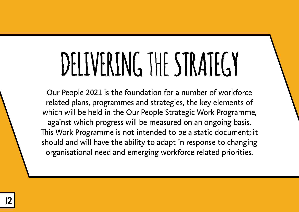### <span id="page-11-0"></span>**DELIVERING** THE **STRATEGY**

Our People 2021 is the foundation for a number of workforce related plans, programmes and strategies, the key elements of which will be held in the Our People Strategic Work Programme, against which progress will be measured on an ongoing basis. This Work Programme is not intended to be a static document; it should and will have the ability to adapt in response to changing organisational need and emerging workforce related priorities.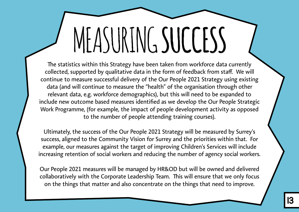## <span id="page-12-0"></span>MEASURING **SUCCESS**

The statistics within this Strategy have been taken from workforce data currently collected, supported by qualitative data in the form of feedback from staff. We will continue to measure successful delivery of the Our People 2021 Strategy using existing data (and will continue to measure the "health" of the organisation through other relevant data, e.g. workforce demographics), but this will need to be expanded to include new outcome based measures identified as we develop the Our People Strategic Work Programme, (for example, the impact of people development activity as opposed to the number of people attending training courses).

Ultimately, the success of the Our People 2021 Strategy will be measured by Surrey's success, aligned to the Community Vision for Surrey and the priorities within that. For example, our measures against the target of improving Children's Services will include increasing retention of social workers and reducing the number of agency social workers.

Our People 2021 measures will be managed by HR&OD but will be owned and delivered collaboratively with the Corporate Leadership Team. This will ensure that we only focus on the things that matter and also concentrate on the things that need to improve.